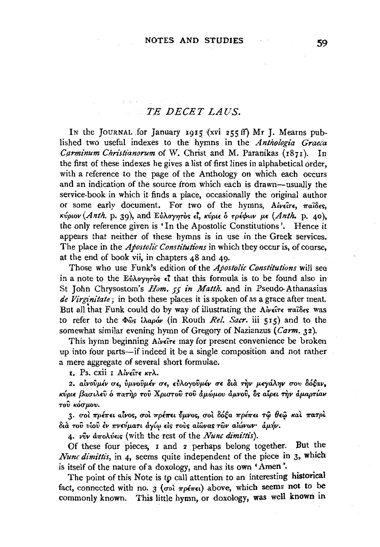## $T E$  DECET LAUS.

In the JOURNAL for January 1915 (xvi 255 ff) Mr J. Mearns published two useful indexes to the hymns in the Anthologia Graeca Carminum Christianorum of W. Christ and M. Paranikas (1871). In the first of these indexes he gives a list of first lines in alphabetical order. with a reference to the page of the Anthology on which each occurs and an indication of the source from which each is drawn—usually the service-book in which it finds a place, occasionally the original author or some early document. For two of the hymns. Alvelore,  $\pi a i \delta \epsilon s$ . κύριον (Anth. p. 39), and Εύλογητός εί, κύριε ό τρέφων με (Anth. p. 40), the only reference given is 'In the Apostolic Constitutions'. Hence it appears that neither of these hymns is in use in the Greek services. The place in the *Apostolic Constitutions* in which they occur is, of course, at the end of book vii, in chapters 48 and 49.

Those who use Funk's edition of the Apostolic Constitutions will see in a note to the Eυλογητός  $\epsilon^2$  that this formula is to be found also in St John Chrysostom's *Hom.*, 55 in *Matth.* and in Pseudo-Athanasius de Virginitate; in both these places it is spoken of as a grace after meat. But all that Funk could do by way of illustrating the  $A\dot{\psi}\acute{\epsilon}\tau\epsilon \pi a \hat{\delta}\epsilon s$  was to refer to the  $\Phi$ <sub>0</sub>s *i* $\lambda$ apóv (in Routh *Rel. Sacr.* iii 515) and to the somewhat similar evening hymn of Gregory of Nazianzus ( $Carm$ , 32).

This hymn beginning Alvere may for present convenience be broken up into four parts—if indeed it be a single composition and not rather a mere aggregate of several short formulae.

 $\mathbf{r}$ . Ps. cxii  $\mathbf{r}$  Aiveite  $\kappa\tau\lambda$ .

2. αίνουμέν σε, ύμνουμέν σε, εύλογουμέν σε διά την μεγάλην σου δόξαν, κύριε βασιλεῦ ὁ πατὴρ τοῦ Χριστοῦ τοῦ ἀμώμου ἀμνοῦ, δς αἶρει τὴν ἀμαρτίαν του κόσμου.

3. σοι πρέπει αίνος, σοι πρέπει ύμνος, σοι δόξα πρέπει τω θεω και πατρι διά του νίου έν πνεύματι άγίω είς τους αίωνας των αιώνων· άμήν.

4. νύν άπολύεις (with the rest of the Nunc dimittis).

Of these four pieces, I and 2 perhaps belong together. But the Nunc dimittis, in 4, seems quite independent of the piece in 3, which is itself of the nature of a doxology, and has its own 'Amen'.

The point of this Note is to call attention to an interesting historical fact, connected with no. 3 ( $\sigma$ oì  $\pi$ pé $\pi$ єι) above, which seems not to be commonly known. This little hymn, or doxology, was well known in